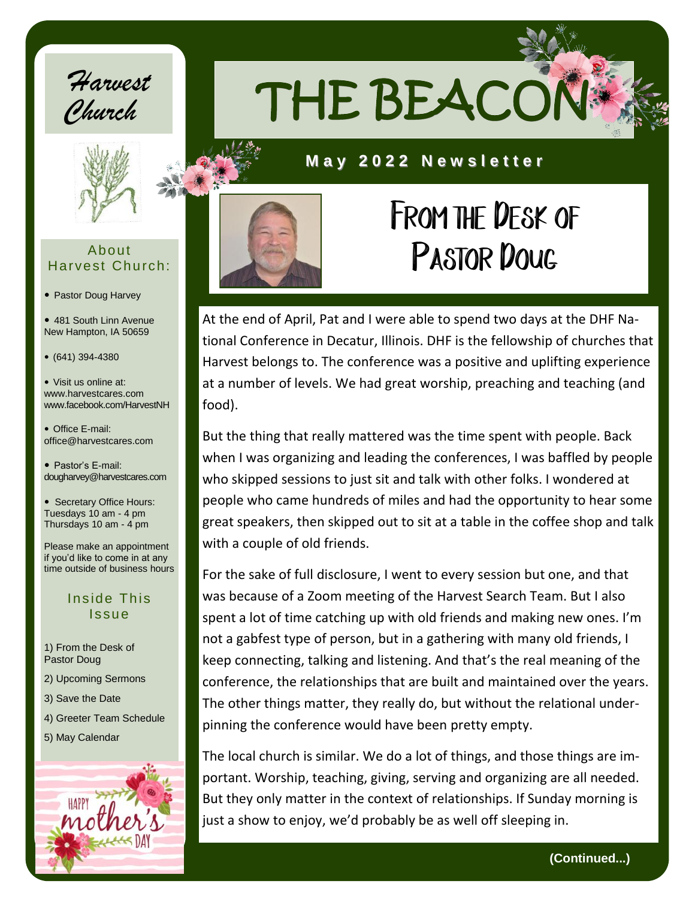



#### About Harvest Church:

- Pastor Doug Harvey
- 481 South Linn Avenue New Hampton, IA 50659
- (641) 394-4380
- Visit us online at: www.harvestcares.com www.facebook.com/HarvestNH
- Office E-mail: office@harvestcares.com
- Pastor's E-mail: dougharvey@harvestcares.com
- Secretary Office Hours: Tuesdays 10 am - 4 pm Thursdays 10 am - 4 pm
- Please make an appointment if you'd like to come in at any time outside of business hours

#### Inside This Issue

- 1) From the Desk of Pastor Doug
- 2) Upcoming Sermons
- 3) Save the Date
- 4) Greeter Team Schedule
- 5) May Calendar





### **M a y 2 0 2 2 N e w s l e t t e r**



## FROM THE DESK OF PASTOR DOUG

At the end of April, Pat and I were able to spend two days at the DHF National Conference in Decatur, Illinois. DHF is the fellowship of churches that Harvest belongs to. The conference was a positive and uplifting experience at a number of levels. We had great worship, preaching and teaching (and food).

But the thing that really mattered was the time spent with people. Back when I was organizing and leading the conferences, I was baffled by people who skipped sessions to just sit and talk with other folks. I wondered at people who came hundreds of miles and had the opportunity to hear some great speakers, then skipped out to sit at a table in the coffee shop and talk with a couple of old friends.

For the sake of full disclosure, I went to every session but one, and that was because of a Zoom meeting of the Harvest Search Team. But I also spent a lot of time catching up with old friends and making new ones. I'm not a gabfest type of person, but in a gathering with many old friends, I keep connecting, talking and listening. And that's the real meaning of the conference, the relationships that are built and maintained over the years. The other things matter, they really do, but without the relational underpinning the conference would have been pretty empty.

The local church is similar. We do a lot of things, and those things are important. Worship, teaching, giving, serving and organizing are all needed. But they only matter in the context of relationships. If Sunday morning is just a show to enjoy, we'd probably be as well off sleeping in.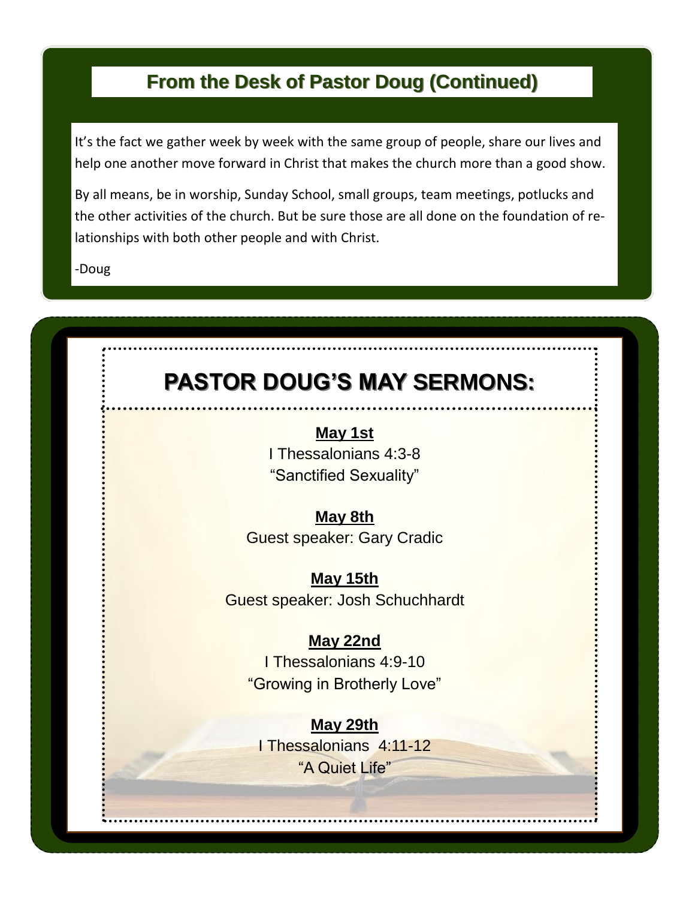### **From the Desk of Pastor Doug (Continued)**

It's the fact we gather week by week with the same group of people, share our lives and help one another move forward in Christ that makes the church more than a good show.

By all means, be in worship, Sunday School, small groups, team meetings, potlucks and the other activities of the church. But be sure those are all done on the foundation of relationships with both other people and with Christ.

-Doug

### **PASTOR DOUG'S MAY SERMONS:**

**May 1st** I Thessalonians 4:3-8 "Sanctified Sexuality"

**May 8th** Guest speaker: Gary Cradic

**May 15th** Guest speaker: Josh Schuchhardt

### **May 22nd**

I Thessalonians 4:9-10 "Growing in Brotherly Love"

**May 29th** I Thessalonians 4:11-12 "A Quiet Life"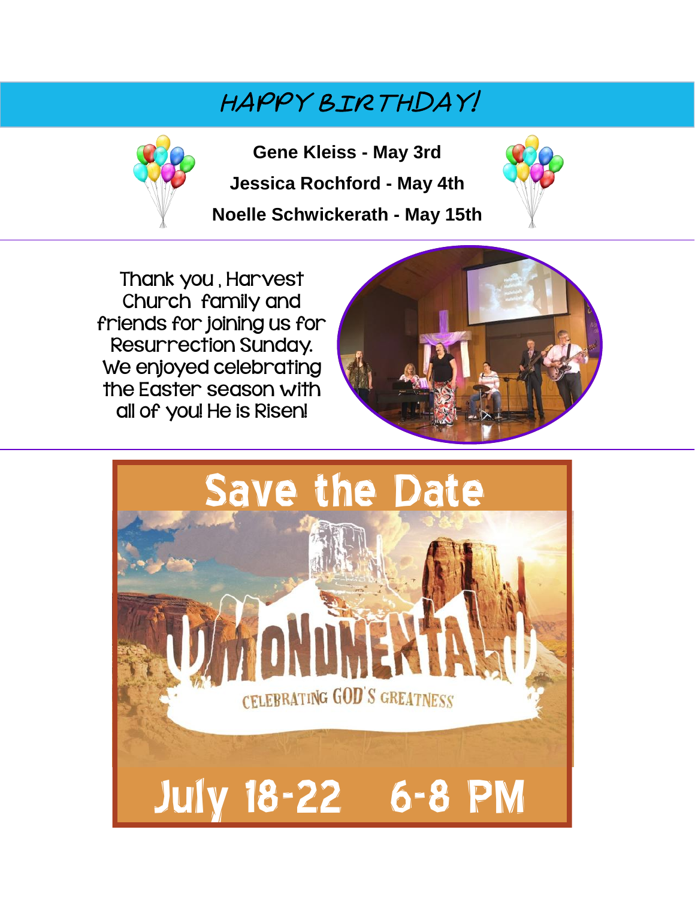### happy Birthday!



**Gene Kleiss - May 3rd**

**Jessica Rochford - May 4th**

**Noelle Schwickerath - May 15th**



Thank you , Harvest Church family and friends for joining us for Resurrection Sunday. We enjoyed celebrating the Easter season with all of you! He is Risen!



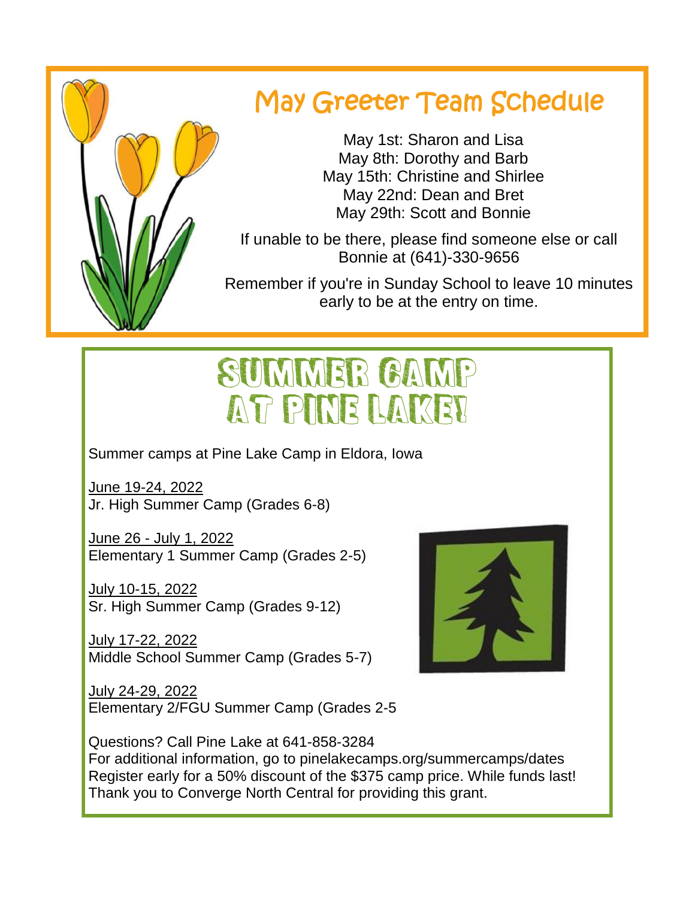

## May Greeter Team Schedule

 May 1st: Sharon and Lisa May 8th: Dorothy and Barb May 15th: Christine and Shirlee May 22nd: Dean and Bret May 29th: Scott and Bonnie

If unable to be there, please find someone else or call Bonnie at (641)-330-9656

Remember if you're in Sunday School to leave 10 minutes early to be at the entry on time.

# SUMMER CAMP AT PINE LAKE!

Summer camps at Pine Lake Camp in Eldora, Iowa

June 19-24, 2022 Jr. High Summer Camp (Grades 6-8)

June 26 - July 1, 2022 Elementary 1 Summer Camp (Grades 2-5)

July 10-15, 2022 Sr. High Summer Camp (Grades 9-12)

July 17-22, 2022 Middle School Summer Camp (Grades 5-7)

July 24-29, 2022 Elementary 2/FGU Summer Camp (Grades 2-5



Questions? Call Pine Lake at 641-858-3284 For additional information, go to pinelakecamps.org/summercamps/dates Register early for a 50% discount of the \$375 camp price. While funds last! Thank you to Converge North Central for providing this grant.